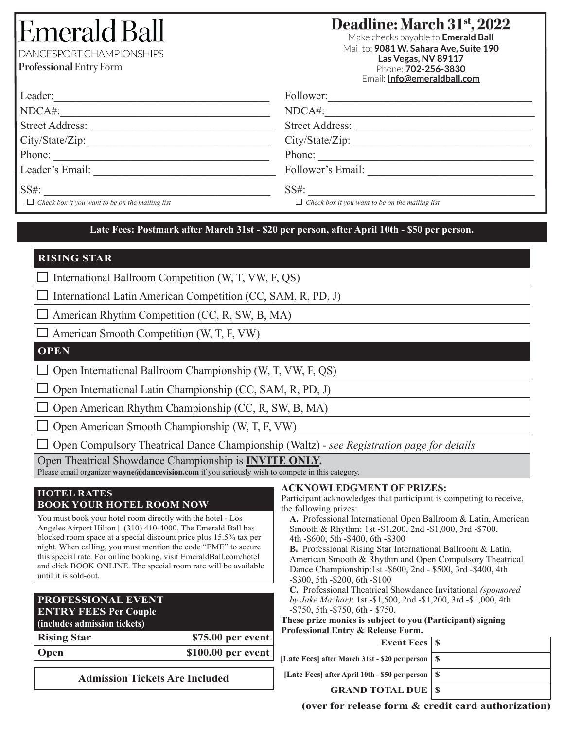# Emerald Ball **DANCESPORT CHAMPIONSHIPS**

**Professional** Entry Form

# **Deadline: March 31st, 2022**

Make checks payable to **Emerald Ball** Mail to: **9081 W. Sahara Ave, Suite 190 Las Vegas, NV 89117** Phone: **702-256-3830** Email: **Info@emeraldball.com**

| Leader:                                                | Follower:                                              |
|--------------------------------------------------------|--------------------------------------------------------|
| NDCA#:                                                 | NDCA#:                                                 |
| <b>Street Address:</b>                                 | <b>Street Address:</b>                                 |
| City/State/Zip:                                        | City/State/Zip:                                        |
| Phone:                                                 | Phone:                                                 |
| Leader's Email:                                        | Follower's Email:                                      |
| $SS#$ :                                                | $SS#$ :                                                |
| $\Box$ Check box if you want to be on the mailing list | $\Box$ Check box if you want to be on the mailing list |

# **Late Fees: Postmark after March 31st - \$20 per person, after April 10th - \$50 per person.**

| <b>RISING STAR</b>                                                                        |
|-------------------------------------------------------------------------------------------|
| International Ballroom Competition (W, T, VW, F, QS)                                      |
| International Latin American Competition (CC, SAM, R, PD, J)                              |
| American Rhythm Competition (CC, R, SW, B, MA)                                            |
| $\Box$ American Smooth Competition (W, T, F, VW)                                          |
| <b>OPEN</b>                                                                               |
| Open International Ballroom Championship (W, T, VW, F, QS)                                |
| Open International Latin Championship (CC, SAM, R, PD, J)                                 |
| Open American Rhythm Championship (CC, R, SW, B, MA)                                      |
| Open American Smooth Championship (W, T, F, VW)                                           |
| Open Compulsory Theatrical Dance Championship (Waltz) - see Registration page for details |
| Open Theatrical Showdance Championship is <b>INVITE ONLY</b> .                            |

Please email organizer **wayne@dancevision.com** if you seriously wish to compete in this category.

## **HOTEL RATES BOOK YOUR HOTEL ROOM NOW**

You must book your hotel room directly with the hotel - Los Angeles Airport Hilton | (310) 410-4000. The Emerald Ball has blocked room space at a special discount price plus 15.5% tax per night. When calling, you must mention the code "EME" to secure this special rate. For online booking, visit EmeraldBall.com/hotel and click BOOK ONLINE. The special room rate will be available until it is sold-out.

### **PROFESSIONAL EVENT ENTRY FEES Per Couple (includes admission tickets)**

| <b>Rising Star</b> | \$75.00 per event  |
|--------------------|--------------------|
| Open               | \$100.00 per event |

**ACKNOWLEDGMENT OF PRIZES:**

Participant acknowledges that participant is competing to receive, the following prizes:

**A.** Professional International Open Ballroom & Latin, American Smooth & Rhythm: 1st -\$1,200, 2nd -\$1,000, 3rd -\$700, 4th -\$600, 5th -\$400, 6th -\$300

**B.** Professional Rising Star International Ballroom & Latin, American Smooth & Rhythm and Open Compulsory Theatrical Dance Championship:1st -\$600, 2nd - \$500, 3rd -\$400, 4th -\$300, 5th -\$200, 6th -\$100

**C.** Professional Theatrical Showdance Invitational *(sponsored by Jake Mazhar)*: 1st -\$1,500, 2nd -\$1,200, 3rd -\$1,000, 4th -\$750, 5th -\$750, 6th - \$750.

**These prize monies is subject to you (Participant) signing Professional Entry & Release Form.**

| Event Fees   \$                                     |  |
|-----------------------------------------------------|--|
| [Late Fees] after March 31st - \$20 per person   \$ |  |
| [Late Fees] after April 10th - \$50 per person   \$ |  |
| <b>GRAND TOTAL DUE   \$</b>                         |  |

**Admission Tickets Are Included**

**(over for release form & credit card authorization)**